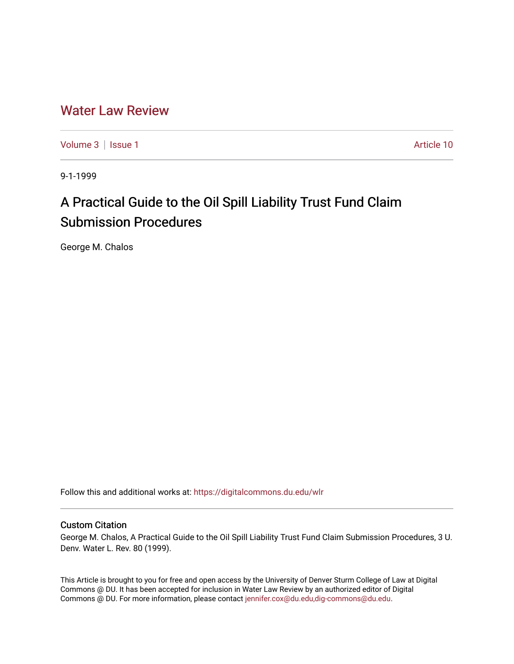# [Water Law Review](https://digitalcommons.du.edu/wlr)

[Volume 3](https://digitalcommons.du.edu/wlr/vol3) | [Issue 1](https://digitalcommons.du.edu/wlr/vol3/iss1) Article 10

9-1-1999

# A Practical Guide to the Oil Spill Liability Trust Fund Claim Submission Procedures

George M. Chalos

Follow this and additional works at: [https://digitalcommons.du.edu/wlr](https://digitalcommons.du.edu/wlr?utm_source=digitalcommons.du.edu%2Fwlr%2Fvol3%2Fiss1%2F10&utm_medium=PDF&utm_campaign=PDFCoverPages) 

# Custom Citation

George M. Chalos, A Practical Guide to the Oil Spill Liability Trust Fund Claim Submission Procedures, 3 U. Denv. Water L. Rev. 80 (1999).

This Article is brought to you for free and open access by the University of Denver Sturm College of Law at Digital Commons @ DU. It has been accepted for inclusion in Water Law Review by an authorized editor of Digital Commons @ DU. For more information, please contact [jennifer.cox@du.edu,dig-commons@du.edu.](mailto:jennifer.cox@du.edu,dig-commons@du.edu)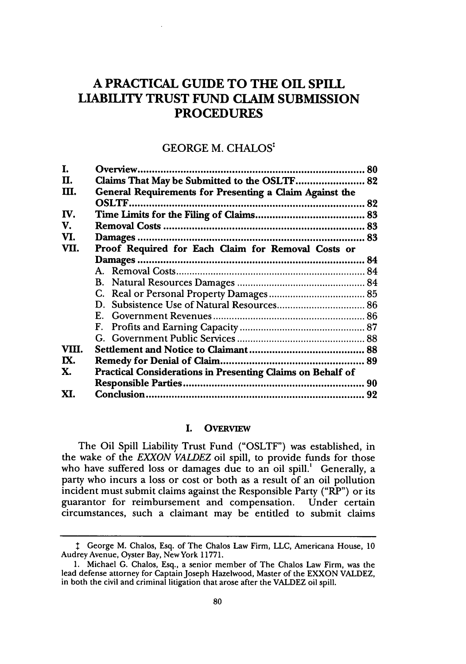# **A PRACTICAL GUIDE TO THE OIL SPILL LIABILITY TRUST FUND CLAIM SUBMISSION PROCEDURES**

# GEORGE M. CHALOS:

| I.    |                                                                   | 80 |
|-------|-------------------------------------------------------------------|----|
| Н.    | Claims That May be Submitted to the OSLTF 82                      |    |
| Ш.    | General Requirements for Presenting a Claim Against the           |    |
|       | <b>OSLTF</b>                                                      | 82 |
| IV.   |                                                                   |    |
| V.    |                                                                   |    |
| VI.   |                                                                   | 83 |
| VII.  | Proof Required for Each Claim for Removal Costs or                |    |
|       |                                                                   |    |
|       |                                                                   |    |
|       |                                                                   |    |
|       |                                                                   |    |
|       | D.                                                                |    |
|       |                                                                   |    |
|       | F.                                                                |    |
|       |                                                                   |    |
| VIII. |                                                                   |    |
| IX.   |                                                                   |    |
| Х.    | <b>Practical Considerations in Presenting Claims on Behalf of</b> |    |
|       |                                                                   | 90 |
| XI.   |                                                                   | 92 |

#### I. **OVERVIEW**

The Oil Spill Liability Trust Fund **("OSLTF")** was established, in the wake of the *EXXON VALDEZ* oil spill, to provide funds for those who have suffered loss or damages due to an oil spill.' Generally, a party who incurs a loss or cost or both as a result of an oil pollution incident must submit claims against the Responsible Party ("RP") or its guarantor for reimbursement and compensation. Under certain circumstances, such a claimant may be entitled to submit claims

**I** George M. Chalos, Esq. of The Chalos Law Firm, LLC, Americana House, 10 Audrey Avenue, Oyster Bay, New York 11771.

<sup>1.</sup> Michael **G.** Chalos, Esq., a senior member of The Chalos Law Firm, was the lead defense attorney for Captain Joseph Hazelwood, Master of the EXXON VALDEZ, in both the civil and criminal litigation that arose after the VALDEZ oil spill.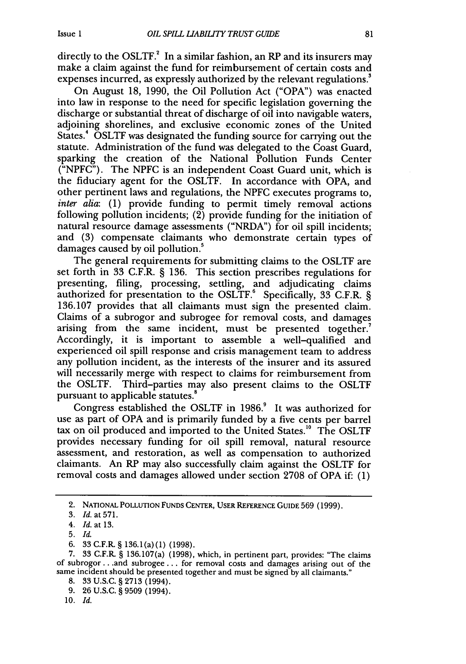directly to the OSLTF. $^2$  In a similar fashion, an RP and its insurers may make a claim against the fund for reimbursement of certain costs and expenses incurred, as expressly authorized by the relevant regulations.'

On August 18, 1990, the Oil Pollution Act ("OPA") was enacted into law in response to the need for specific legislation governing the discharge or substantial threat of discharge of oil into navigable waters, adjoining shorelines, and exclusive economic zones of the United States.' OSLTF was designated the funding source for carrying out the statute. Administration of the fund was delegated to the Coast Guard, sparking the creation of the National Pollution Funds Center ("NPFC"). The NPFC is an independent Coast Guard unit, which is the fiduciary agent for the OSLTF. In accordance with OPA, and other pertinent laws and regulations, the NPFC executes programs to, *inter alia:* (1) provide funding to permit timely removal actions following pollution incidents; (2) provide funding for the initiation of natural resource damage assessments ("NRDA") for oil spill incidents; and (3) compensate claimants who demonstrate certain types of damages caused by oil pollution.<sup>5</sup>

The general requirements for submitting claims to the OSLTF are set forth in 33 C.F.R. § 136. This section prescribes regulations for presenting, filing, processing, settling, and adjudicating claims authorized for presentation to the OSLTF. $^6$  Specifically, 33 C.F.R. § 136.107 provides that all claimants must sign the presented claim. Claims of a subrogor and subrogee for removal costs, and damages arising from the same incident, must be presented together.<sup>7</sup> Accordingly, it is important to assemble a well-qualified and experienced oil spill response and crisis management team to address any pollution incident, as the interests of the insurer and its assured will necessarily merge with respect to claims for reimbursement from the OSLTF. Third-parties may also present claims to the OSLTF pursuant to applicable statutes.'

Congress established the OSLTF in 1986.' It was authorized for use as part of OPA and is primarily funded by a five cents per barrel tax on oil produced and imported to the United States.<sup>10</sup> The OSLTF provides necessary funding for oil spill removal, natural resource assessment, and restoration, as well as compensation to authorized claimants. An RP may also successfully claim against the OSLTF for removal costs and damages allowed under section 2708 of OPA if. (1)

9. 26 U.S.C. § 9509 (1994).

10. *Id.*

<sup>2.</sup> NATIONAL POLLUTION FUNDS CENTER, USER REFERENCE GUIDE 569 (1999).

<sup>3.</sup> Id. at 571.

<sup>4.</sup> Id. at **13.**

<sup>5.</sup> *Id.*

<sup>6. 33</sup> C.F.R § 136.1(a)(1) (1998).

<sup>7. 33</sup> C.F.R. § 136.107(a) (1998), which, in pertinent part, provides: "The claims of subrogor.. .and subrogee... for removal costs and damages arising out of the same incident should be presented together and must be signed by all claimants."

<sup>8. 33</sup> U.S.C. § 2713 (1994).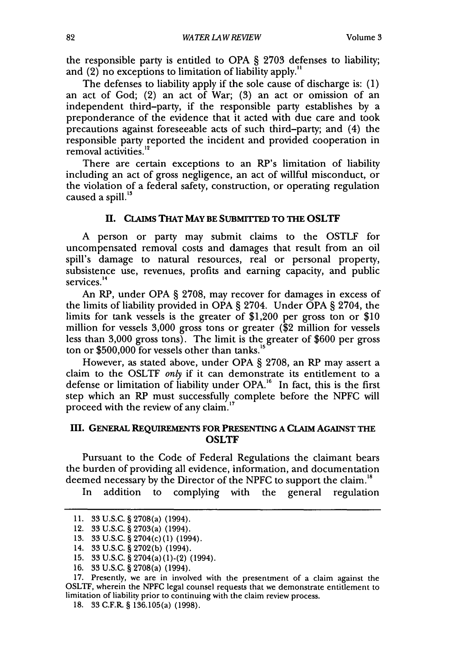the responsible party is entitled to OPA § 2703 defenses to liability; and (2) no exceptions to limitation of liability apply."

The defenses to liability apply if the sole cause of discharge is: (1) an act of God; (2) an act of War; (3) an act or omission of an independent third-party, if the responsible party establishes by a preponderance of the evidence that it acted with due care and took precautions against foreseeable acts of such third-party; and (4) the responsible party reported the incident and provided cooperation in removal activities.<sup>11</sup>

There are certain exceptions to an RP's limitation of liability including an act of gross negligence, an act of willful misconduct, or the violation of a federal safety, construction, or operating regulation caused a spill.<sup>13</sup>

#### **I.** CLAIMS **THAT MAY BE SUBMITrED TO THE OSLTF**

A person or party may submit claims to the OSTLF for uncompensated removal costs and damages that result from an oil spill's damage to natural resources, real or personal property, subsistence use, revenues, profits and earning capacity, and public services.<sup>14</sup>

An RP, under OPA § 2708, may recover for damages in excess of the limits of liability provided in OPA  $\S$  2704. Under OPA  $\S$  2704, the limits for tank vessels is the greater of \$1,200 per gross ton or \$10 million for vessels 3,000 gross tons or greater (\$2 million for vessels less than 3,000 gross tons). The limit is the greater of \$600 per gross ton or  $$500,000$  for vessels other than tanks.<sup>15</sup>

However, as stated above, under OPA § 2708, an RP may assert a claim to the OSLTF *only* if it can demonstrate its entitlement to a defense or limitation of liability under OPA.<sup>16</sup> In fact, this is the first step which an RP must successfully complete before the NPFC will proceed with the review of any claim.'7

#### **III. GENERAL REQUIREMENTS FOR PRESENTING A CLAIM AGAINST THE OSLTF**

Pursuant to the Code of Federal Regulations the claimant bears the burden of providing all evidence, information, and documentation deemed necessary by the Director of the NPFC to support the claim."'

In addition to complying with the general regulation

17. Presently, we are in involved with the presentment of a claim against the OSLTF, wherein the NPFC legal counsel requests that we demonstrate entitlement to limitation of liability prior to continuing with the claim review process.

<sup>11. 33</sup> U.S.C. § 2708(a) (1994).

<sup>12. 33</sup> U.S.C. § 2703(a) (1994).

<sup>13. 33</sup> U.S.C. § 2704(c)(1) (1994).

<sup>14. 33</sup> U.S.C. § 2702(b) (1994).

<sup>15. 33</sup> U.S.C. § 2704(a)(1)-(2) (1994).

<sup>16. 33</sup> U.S.C. § 2708(a) (1994).

<sup>18. 33</sup> C.F.R. § 136.105(a) (1998).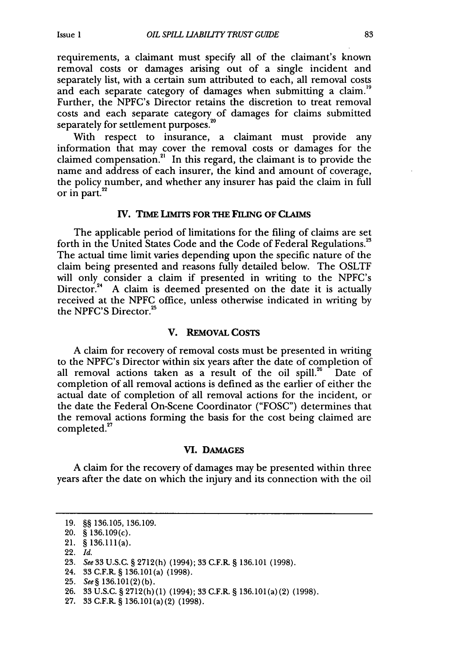requirements, a claimant must specify all of the claimant's known removal costs or damages arising out of a single incident and separately list, with a certain sum attributed to each, all removal costs and each separate category of damages when submitting a claim.<sup>19</sup> Further, the NPFC's Director retains the discretion to treat removal costs and each separate category of damages for claims submitted separately for settlement purposes.

With respect to insurance, a claimant must provide any information that may cover the removal costs or damages for the claimed compensation.<sup>21</sup> In this regard, the claimant is to provide the name and address of each insurer, the kind and amount of coverage, the policy number, and whether any insurer has paid the claim in full or in part.

### **IV. TIME LIMITS FOR THE FILING OF CLAIMS**

The applicable period of limitations for the filing of claims are set forth in the United States Code and the Code of Federal Regulations.<sup>23</sup> The actual time limit varies depending upon the specific nature of the claim being presented and reasons fully detailed below. The OSLTF will only consider a claim if presented in writing to the NPFC's Director.<sup>24</sup> A claim is deemed presented on the date it is actually received at the NPFC office, unless otherwise indicated in writing by the NPFC'S Director.<sup>25</sup>

#### V. **REMOVAL COSTS**

A claim for recovery of removal costs must be presented in writing to the NPFC's Director within six years after the date of completion of all removal actions taken as a result of the oil spill. $26$  Date of completion of all removal actions is defined as the earlier of either the actual date of completion of all removal actions for the incident, or the date the Federal On-Scene Coordinator ("FOSC") determines that the removal actions forming the basis for the cost being claimed are completed.<sup>27</sup>

#### **VI. DAMAGES**

A claim for the recovery of damages may be presented within three years after the date on which the injury and its connection with the oil

<sup>19. §§ 136.105, 136.109.</sup>

<sup>20. § 136.109(</sup>c).

<sup>21. § 136.111(</sup>a).

<sup>22.</sup> *Id.*

<sup>23.</sup> *See 33* U.S.C. § 2712(h) (1994); 33 C.F.R. § 136.101 (1998).

<sup>24. 33</sup> C.F.R. § 136.101 (a) (1998).

<sup>25.</sup> *See§* 136.101(2)(b).

<sup>26. 33</sup> U.S.C. § 2712(h)(1) (1994); 33 C.F.R. § 136.101(a)(2) (1998).

<sup>27. 33</sup> C.F.R. § 136.101(a) (2) (1998).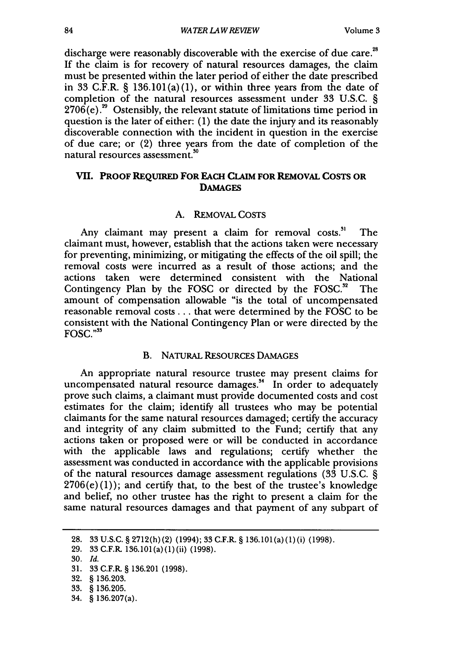discharge were reasonably discoverable with the exercise of due care.<sup>28</sup> If the claim is for recovery of natural resources damages, the claim must be presented within the later period of either the date prescribed in 33 C.F.R.  $\S$  136.101(a)(1), or within three years from the date of completion of the natural resources assessment under 33 U.S.C. §  $2706(e).^{29}$  Ostensibly, the relevant statute of limitations time period in question is the later of either: (1) the date the injury and its reasonably discoverable connection with the incident in question in the exercise of due care; or (2) three years from the date of completion of the natural resources assessment.<sup>30</sup>

# **VII. PROOF REQUIRED FOR EACH CLAIM FOR REMOVAL COSTS OR DAMAGES**

#### A. REMOVAL COSTS

Any claimant may present a claim for removal costs.<sup>31</sup> The claimant must, however, establish that the actions taken were necessary for preventing, minimizing, or mitigating the effects of the oil spill; the removal costs were incurred as a result of those actions; and the actions taken were determined consistent with the National Contingency Plan by the FOSC or directed by the FOSC. $32$  The amount of compensation allowable "is the total of uncompensated reasonable removal costs.., that were determined by the FOSC to be consistent with the National Contingency Plan or were directed by the FOSC."<sup>33</sup>

#### B. NATURAL RESOURCES DAMAGES

An appropriate natural resource trustee may present claims for uncompensated natural resource damages.<sup>34</sup> In order to adequately prove such claims, a claimant must provide documented costs and cost estimates for the claim; identify all trustees who may be potential claimants for the same natural resources damaged; certify the accuracy and integrity of any claim submitted to the Fund; certify that any actions taken or proposed were or will be conducted in accordance with the applicable laws and regulations; certify whether the assessment was conducted in accordance with the applicable provisions of the natural resources damage assessment regulations (33 U.S.C. §  $2706(e)(1)$ ; and certify that, to the best of the trustee's knowledge and belief, no other trustee has the right to present a claim for the same natural resources damages and that payment of any subpart of

<sup>28. 33</sup> U.S.C. § 2712(h)(2) (1994); 33 C.F.R. § 136.101(a)(1)(i) (1998).

<sup>29. 33</sup> C.F.R 136.101(a) (1) (ii) (1998).

<sup>30.</sup> *Id.*

<sup>31. 33</sup> C.F.R § 136.201 (1998).

<sup>32. § 136.203.</sup>

<sup>33. § 136.205.</sup>

<sup>34. § 136.207(</sup>a).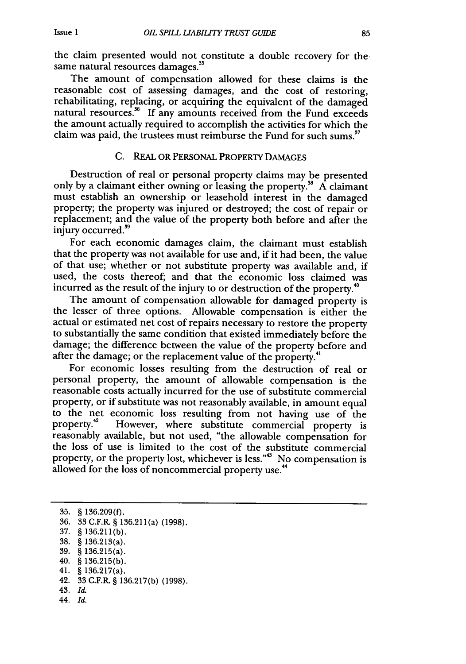the claim presented would not constitute a double recovery for the same natural resources damages.<sup>35</sup>

The amount of compensation allowed for these claims is the reasonable cost of assessing damages, and the cost of restoring, rehabilitating, replacing, or acquiring the equivalent of the damaged natural resources.<sup>36</sup> If any amounts received from the Fund exceeds the amount actually required to accomplish the activities for which the claim was paid, the trustees must reimburse the Fund for such sums."

#### C. REAL OR PERSONAL PROPERTY DAMAGES

Destruction of real or personal property claims may be presented only by a claimant either owning or leasing the property.<sup>38</sup> A claimant must establish an ownership or leasehold interest in the damaged property; the property was injured or destroyed; the cost of repair or replacement; and the value of the property both before and after the injury occurred.<sup>39</sup>

For each economic damages claim, the claimant must establish that the property was not available for use and, if it had been, the value of that use; whether or not substitute property was available and, if used, the costs thereof; and that the economic loss claimed was incurred as the result of the injury to or destruction of the property.<sup>40</sup>

The amount of compensation allowable for damaged property is the lesser of three options. Allowable compensation is either the actual or estimated net cost of repairs necessary to restore the property to substantially the same condition that existed immediately before the damage; the difference between the value of the property before and admage; the difference between the value of the property.<sup>4</sup><br>after the damage; or the replacement value of the property.<sup>41</sup>

For economic losses resulting from the destruction of real or personal property, the amount of allowable compensation is the reasonable costs actually incurred for the use of substitute commercial property, or if substitute was not reasonably available, in amount equal to the net economic loss resulting from not having use of the property.<sup>42</sup> However, where substitute commercial property is reasonably available, but not used, "the allowable compensation for the loss of use is limited to the cost of the substitute commercial property, or the property lost, whichever is less."<sup>43</sup> No compensation is allowed for the loss of noncommercial property use.<sup>44</sup>

- 43. Id.
- 44. *Id.*

<sup>35. § 136.209(</sup>f).

<sup>36. 33</sup> C.F.R § 136.211(a) (1998).

<sup>37. § 136.211(</sup>b).

<sup>38. § 136.213(</sup>a).

<sup>39. § 136.215(</sup>a).

<sup>40. § 136.215(</sup>b).

<sup>41. § 136.217(</sup>a).

<sup>42. 33</sup> C.F.R. § 136.217(b) (1998).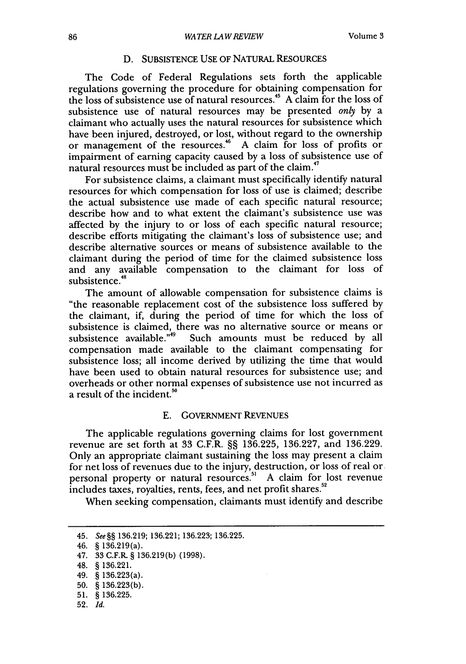# D. SUBSISTENCE USE OF NATURAL RESOURCES

The Code of Federal Regulations sets forth the applicable regulations governing the procedure for obtaining compensation for the loss of subsistence use of natural resources.<sup>45</sup> A claim for the loss of subsistence use of natural resources may be presented *only* by a claimant who actually uses the natural resources for subsistence which have been injured, destroyed, or lost, without regard to the ownership or management of the resources.<sup>46</sup> A claim for loss of profits or impairment of earning capacity caused by a loss of subsistence use of natural resources must be included as part of the claim **. 47**

For subsistence claims, a claimant must specifically identify natural resources for which compensation for loss of use is claimed; describe the actual subsistence use made of each specific natural resource; describe how and to what extent the claimant's subsistence use was affected by the injury to or loss of each specific natural resource; describe efforts mitigating the claimant's loss of subsistence use; and describe alternative sources or means of subsistence available to the claimant during the period of time for the claimed subsistence loss and any available compensation to the claimant for loss of subsistence.<sup>48</sup>

The amount of allowable compensation for subsistence claims is "the reasonable replacement cost of the subsistence loss suffered by the claimant, if, during the period of time for which the loss of subsistence is claimed, there was no alternative source or means or subsistence available."49 Such amounts must be reduced **by** all compensation made available to the claimant compensating for subsistence loss; all income derived by utilizing the time that would have been used to obtain natural resources for subsistence use; and overheads or other normal expenses of subsistence use not incurred as a result of the incident.<sup>50</sup>

#### E. GOVERNMENT REVENUES

The applicable regulations governing claims for lost government revenue are set forth at 33 C.F.R. §§ 136.225, 136.227, and 136.229. Only an appropriate claimant sustaining the loss may present a claim for net loss of revenues due to the injury, destruction, or loss of real or personal property or natural resources.<sup>51</sup> A claim for lost revenue includes taxes, royalties, rents, fees, and net profit shares.<sup>52</sup>

When seeking compensation, claimants must identify and describe

<sup>45.</sup> *See§§* 136.219; 136.221; 136.223; 136.225.

<sup>46. § 136.219(</sup>a).

<sup>47. 33</sup> C.F.R. § 136.219(b) (1998).

<sup>48. § 136.221.</sup>

<sup>49. § 136.223(</sup>a).

<sup>50. § 136.223(</sup>b).

**<sup>51.</sup>** § 136.225.

**<sup>52.</sup>** *Id.*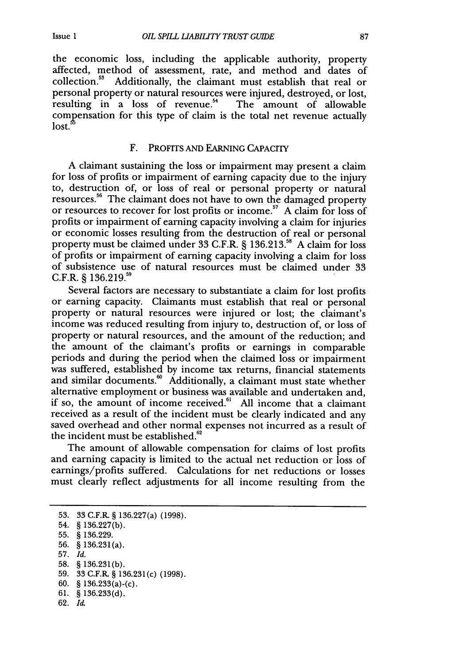the economic loss, including the applicable authority, property affected, method of assessment, rate, and method and dates of collection.53 Additionally, the claimant must establish that real or personal property or natural resources were injured, destroyed, or lost, resulting in a loss of revenue.<sup>54</sup> The amount of allowable compensation for this type of claim is the total net revenue actually lost.<sup>5</sup>

#### F. PROFITS AND EARNING CAPACITY

A claimant sustaining the loss or impairment may present a claim for loss of profits or impairment of earning capacity due to the injury to, destruction of, or loss of real or personal property or natural resources.<sup>56</sup> The claimant does not have to own the damaged property or resources to recover for lost profits or income.<sup>57</sup> A claim for loss of profits or impairment of earning capacity involving a claim for injuries or economic losses resulting from the destruction of real or personal property must be claimed under 33 C.F.R. § 136.213.<sup>58</sup> A claim for loss of profits or impairment of earning capacity involving a claim for loss of subsistence use of natural resources must be claimed under 33 C.F.R. § 136.219.<sup>55</sup>

Several factors are necessary to substantiate a claim for lost profits or earning capacity. Claimants must establish that real or personal property or natural resources were injured or lost; the claimant's income was reduced resulting from injury to, destruction of, or loss of property or natural resources, and the amount of the reduction; and the amount of the claimant's profits or earnings in comparable periods and during the period when the claimed loss or impairment was suffered, established by income tax returns, financial statements and similar documents.<sup>60</sup> Additionally, a claimant must state whether alternative employment or business was available and undertaken and, if so, the amount of income received. $61$  All income that a claimant received as a result of the incident must be clearly indicated and any saved overhead and other normal expenses not incurred as a result of the incident must be established.

The amount of allowable compensation for claims of lost profits and earning capacity is limited to the actual net reduction or loss of earnings/profits suffered. Calculations for net reductions or losses must clearly reflect adjustments for all income resulting from the

62. *Id.*

<sup>53. 33</sup> C.F.R. § 136.227(a) (1998). 54. § 136.227(b).

**<sup>55. § 136.229.</sup>**

**<sup>56. §</sup>** 136.231(a).

**<sup>57.</sup>** *Id.*

**<sup>58.</sup>** § 136.231(b).

<sup>59. 33</sup> C.F.R. § 136.231(c) (1998).

<sup>60. § 136.233(</sup>a)-(c).

**<sup>61.</sup>** § 136.233(d).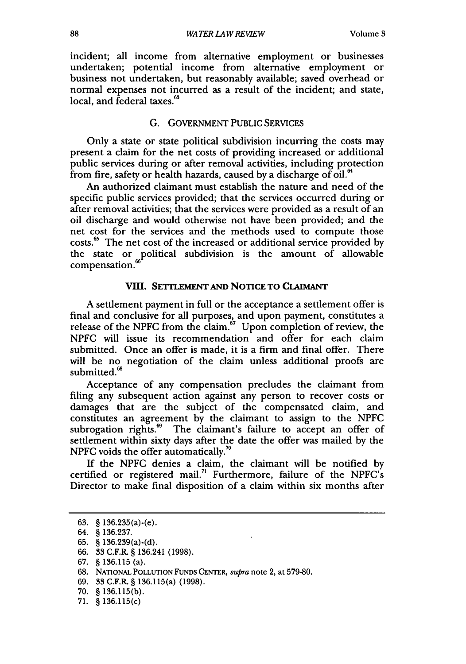incident; all income from alternative employment or businesses undertaken; potential income from alternative employment or business not undertaken, but reasonably available; saved overhead or normal expenses not incurred as a result of the incident; and state, local, and federal taxes.<sup>63</sup>

#### G. GOVERNMENT PUBLIC SERVICES

Only a state or state political subdivision incurring the costs may present a claim for the net costs of providing increased or additional public services during or after removal activities, including protection from fire, safety or health hazards, caused by a discharge of oil.<sup>64</sup>

An authorized claimant must establish the nature and need of the specific public services provided; that the services occurred during or after removal activities; that the services were provided as a result of an oil discharge and would otherwise not have been provided; and the net cost for the services and the methods used to compute those costs."' The net cost of the increased or additional service provided by the state or political subdivision is the amount of allowable compensation.

# VIII. SETILEMENT **AND** NOTICE **TO CLIUMANT**

A settlement payment in full or the acceptance a settlement offer is final and conclusive for all purposes, and upon payment, constitutes a release of the **NPFG** from the claim." Upon completion of review, the NPFC will issue its recommendation and offer for each claim submitted. Once an offer is made, it is a firm and final offer. There will be no negotiation of the claim unless additional proofs are submitted.<sup>6</sup>

Acceptance of any compensation precludes the claimant from filing any subsequent action against any person to recover costs or damages that are the subject of the compensated claim, and constitutes an agreement by the claimant to assign to the NPFC subrogation rights.<sup>69</sup> The claimant's failure to accept an offer of settlement within sixty days after the date the offer was mailed by the NPFC voids the offer automatically."

If the NPFC denies a claim, the claimant will be notified by certified or registered mail.<sup>71</sup> Furthermore, failure of the NPFC's Director to make final disposition of a claim within six months after

<sup>63. § 136.235(</sup>a)-(e).

<sup>64. § 136.237.</sup>

<sup>65. § 136.239(</sup>a)-(d).

<sup>66. 33</sup> C.F.R. § 136.241 (1998).

<sup>67. § 136.115 (</sup>a).

<sup>68.</sup> NATIONAL POLLUTION **FUNDS** CENTER, *supra* note 2, at 579-80.

<sup>69. 33</sup> C.F.R. § 136.115(a) (1998).

<sup>70. § 136.115(</sup>b).

<sup>71. § 136.115(</sup>c)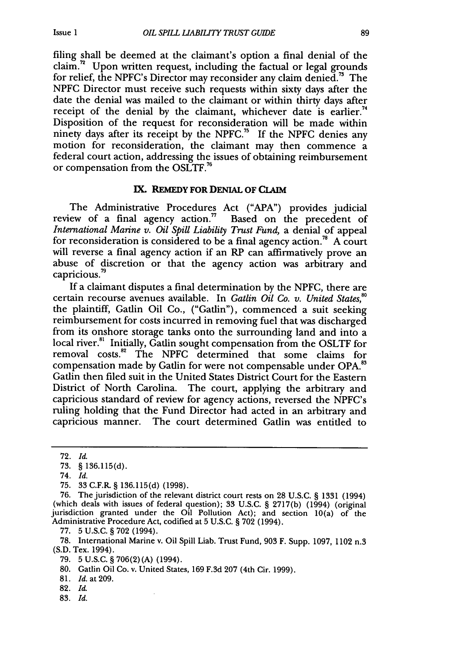filing shall be deemed at the claimant's option a final denial of the claim.<sup>72</sup> Upon written request, including the factual or legal grounds for relief, the NPFC's Director may reconsider any claim denied.<sup>73</sup> The NPFC Director must receive such requests within sixty days after the date the denial was mailed to the claimant or within thirty days after receipt of the denial by the claimant, whichever date is earlier.<sup>74</sup> Disposition of the request for reconsideration will be made within ninety days after its receipt by the NPFC.<sup>75</sup> If the NPFC denies any motion for reconsideration, the claimant may then commence a federal court action, addressing the issues of obtaining reimbursement or compensation from the OSLTF.<sup>76</sup>

## **IX. REMEDY FOR DENIAL OF CLAIM**

The Administrative Procedures Act **("APA")** provides judicial review of a final agency action.<sup>77</sup> Based on the precedent of *International Marine v. Oil Spill Liability Trust Fund,* a denial of appeal for reconsideration is considered to be a final agency action.<sup>78</sup> A court will reverse a final agency action if an RP can affirmatively prove an abuse of discretion or that the agency action was arbitrary and capricious.<sup>79</sup>

If a claimant disputes a final determination by the NPFC, there are certain recourse avenues available. In *Gatlin Oil Co. v. United States*,<sup>80</sup> the plaintiff, Gatlin Oil Co., ("Gatlin"), commenced a suit seeking reimbursement for costs incurred in removing fuel that was discharged from its onshore storage tanks onto the surrounding land and into a local river.<sup>81</sup> Initially, Gatlin sought compensation from the OSLTF for removal costs.<sup>82</sup> The NPFC determined that some claims for compensation made by Gatlin for were not compensable under OPA.<sup>85</sup> Gatlin then filed suit in the United States District Court for the Eastern District of North Carolina. The court, applying the arbitrary and capricious standard of review for agency actions, reversed the NPFC's ruling holding that the Fund Director had acted in an arbitrary and capricious manner. The court determined Gatlin was entitled to

- 74. *Id.*
- 75. 33 C.F.R. § 136.115(d) (1998).

77. 5 U.S.C. § 702 (1994).

- 79. 5 U.S.C. § 706(2)(A) (1994).
- 80. Gatlin Oil Co. v. United States, 169 F.3d 207 (4th Cir. 1999).

81. Id. at 209.

- 82. *Id.*
- **83.** *Id.*

<sup>72.</sup> *Id.*

**<sup>73.</sup>** § 136.115(d).

<sup>76.</sup> The jurisdiction of the relevant district court rests on 28 U.S.C. § **1331** (1994) (which deals with issues of federal question); 33 U.S.C. § 2717(b) (1994) (original jurisdiction granted under the Oil Pollution Act); and section 10(a) of the Administrative Procedure Act, codified at 5 U.S.C. § 702 (1994).

<sup>78.</sup> International Marine v. Oil Spill Liab. Trust Fund, 903 F. Supp. 1097, 1102 n.3 (S.D. Tex. 1994).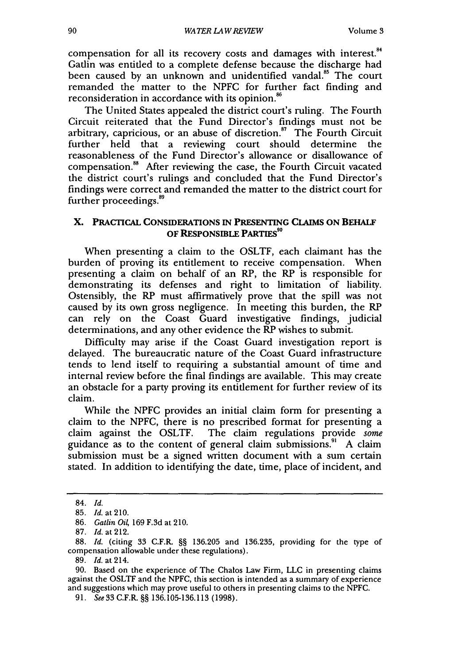compensation for all its recovery costs and damages with interest.<sup>84</sup> Gatlin was entitled to a complete defense because the discharge had been caused by an unknown and unidentified vandal.<sup>85</sup> The court remanded the matter to the NPFC for further fact finding and reconsideration in accordance with its opinion.<sup>86</sup>

The United States appealed the district court's ruling. The Fourth Circuit reiterated that the Fund Director's findings must not be arbitrary, capricious, or an abuse of discretion. $17$  The Fourth Circuit further held that a reviewing court should determine the reasonableness of the Fund Director's allowance or disallowance of compensation.8 After reviewing the case, the Fourth Circuit vacated the district court's rulings and concluded that the Fund Director's findings were correct and remanded the matter to the district court for further proceedings.

# **X. PRACTICAL CONSIDERATIONS IN PRESENTING CLAIMS ON BEHALF OF RESPONSIBLE PARTIES"0**

When presenting a claim to the OSLTF, each claimant has the burden of proving its entitlement to receive compensation. When presenting a claim on behalf of an RP, the RP is responsible for demonstrating its defenses and right to limitation of liability. Ostensibly, the RP must affirmatively prove that the spill was not caused by its own gross negligence. In meeting this burden, the RP can rely on the Coast Guard investigative findings, judicial determinations, and any other evidence the RP wishes to submit.

Difficulty may arise if the Coast Guard investigation report is delayed. The bureaucratic nature of the Coast Guard infrastructure tends to lend itself to requiring a substantial amount of time and internal review before the final findings are available. This may create an obstacle for a party proving its entitlement for further review of its claim.

While the NPFC provides an initial claim form for presenting a claim to the NPFC, there is no prescribed format for presenting a claim against the OSLTF. The claim regulations provide some guidance as to the content of general claim submissions.' A claim submission must be a signed written document with a sum certain stated. In addition to identifying the date, time, place of incident, and

<sup>84.</sup> *Id.*

<sup>85.</sup> Id.at210.

<sup>86.</sup> *Gatlin Oi4* 169 F.3d at 210.

<sup>87.</sup> *Id.* at 212.

<sup>88.</sup> *Id.* (citing 33 C.F.R. §§ 136.205 and 136.235, providing for the type of compensation allowable under these regulations).

<sup>89.</sup> Id. at 214.

<sup>90.</sup> Based on the experience of The Chalos Law Firm, LLC in presenting claims against the OSLTF and the NPFC, this section is intended as a summary of experience and suggestions which may prove useful to others in presenting claims to the NPFC.

<sup>91.</sup> See 33 C.F.R. §§ 136.105-136.113 (1998).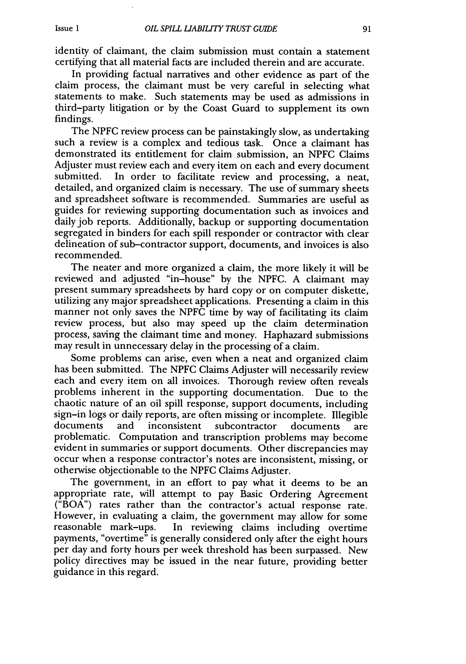identity of claimant, the claim submission must contain a statement certifying that all material facts are included therein and are accurate.

In providing factual narratives and other evidence as part of the claim process, the claimant must be very careful in selecting what statements to make. Such statements may be used as admissions in third-party litigation or by the Coast Guard to supplement its own findings.

The NPFC review process can be painstakingly slow, as undertaking such a review is a complex and tedious task. Once a claimant has demonstrated its entitlement for claim submission, an NPFC Claims Adjuster must review each and every item on each and every document submitted. In order to facilitate review and processing, a neat, detailed, and organized claim is necessary. The use of summary sheets and spreadsheet software is recommended. Summaries are useful as guides for reviewing supporting documentation such as invoices and daily job reports. Additionally, backup or supporting documentation segregated in binders for each spill responder or contractor with clear delineation of sub-contractor support, documents, and invoices is also recommended.

The neater and more organized a claim, the more likely it will be reviewed and adjusted "in-house" by the NPFC. A claimant may present summary spreadsheets by hard copy or on computer diskette, utilizing any major spreadsheet applications. Presenting a claim in this manner not only saves the NPFC time by way of facilitating its claim review process, but also may speed up the claim determination process, saving the claimant time and money. Haphazard submissions may result in unnecessary delay in the processing of a claim.

Some problems can arise, even when a neat and organized claim has been submitted. The NPFC Claims Adjuster will necessarily review each and every item on all invoices. Thorough review often reveals problems inherent in the supporting documentation. Due to the chaotic nature of an oil spill response, support documents, including sign-in logs or daily reports, are often missing or incomplete. Illegible documents and inconsistent subcontractor documents are problematic. Computation and transcription problems may become evident in summaries or support documents. Other discrepancies may occur when a response contractor's notes are inconsistent, missing, or otherwise objectionable to the NPFC Claims Adjuster.

The government, in an effort to pay what it deems to be an appropriate rate, will attempt to pay Basic Ordering Agreement ("BOA") rates rather than the contractor's actual response rate. However, in evaluating a claim, the government may allow for some reasonable mark-ups. In reviewing claims including overtime payments, "overtime" is generally considered only after the eight hours per day and forty hours per week threshold has been surpassed. New policy directives may be issued in the near future, providing better guidance in this regard.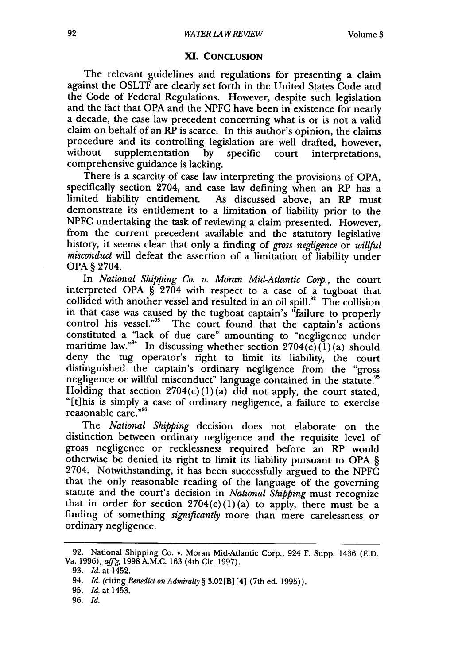#### **XI. CONCLUSION**

The relevant guidelines and regulations for presenting a claim against the OSLTF are clearly set forth in the United States Code and the Code of Federal Regulations. However, despite such legislation and the fact that OPA and the NPFC have been in existence for nearly a decade, the case law precedent concerning what is or is not a valid claim on behalf of an RP is scarce. In this author's opinion, the claims procedure and its controlling legislation are well drafted, however, without supplementation by specific court interpretations, comprehensive guidance is lacking.

There is a scarcity of case law interpreting the provisions of OPA, specifically section 2704, and case law defining when an RP has a limited liability entitlement. As discussed above, an RP must demonstrate its entitlement to a limitation of liability prior to the NPFC undertaking the task of reviewing a claim presented. However, from the current precedent available and the statutory legislative history, it seems clear that only a finding of *gross negligence* or *willful misconduct* will defeat the assertion of a limitation of liability under OPA § 2704.

In *National Shipping Co. v. Moran Mid-Atlantic Corp.,* the court interpreted OPA § 2704 with respect to a case of a tugboat that collided with another vessel and resulted in an oil spill.<sup>92</sup> The collision in that case was caused by the tugboat captain's "failure to properly control his vessel."<sup>33</sup> The court found that the captain's actions constituted a "lack of due care" amounting to "negligence under maritime law."<sup>94</sup> In discussing whether section  $2704(\check{c})(1)(a)$  should deny the tug operator's right to limit its liability, the court distinguished the captain's ordinary negligence from the "gross negligence or willful misconduct" language contained in the statute." Holding that section  $2704(c)(1)(a)$  did not apply, the court stated, "[t]his is simply a case of ordinary negligence, a failure to exercise reasonable care."<sup>96</sup>

The *National Shipping* decision does not elaborate on the distinction between ordinary negligence and the requisite level of gross negligence or recklessness required before an RP would otherwise be denied its right to limit its liability pursuant to OPA § 2704. Notwithstanding, it has been successfully argued to the NPFC that the only reasonable reading of the language of the governing statute and the court's decision in *National Shipping* must recognize that in order for section  $2704(c)(1)(a)$  to apply, there must be a finding of something *significantly* more than mere carelessness or ordinary negligence.

<sup>92.</sup> National Shipping Co. v. Moran Mid-Atlantic Corp., 924 F. Supp. 1436 (E.D. Va. 1996), aff'g, 1998 A.M.C. 163 (4th Cir. 1997).

<sup>93.</sup> *Id.* at 1452.

<sup>94.</sup> *Id.* (citing *Benedict on Admiralty* § 3.02[B] [4] (7th ed. 1995)).

<sup>95.</sup> *Id.* at 1453.

<sup>96.</sup> *Id.*